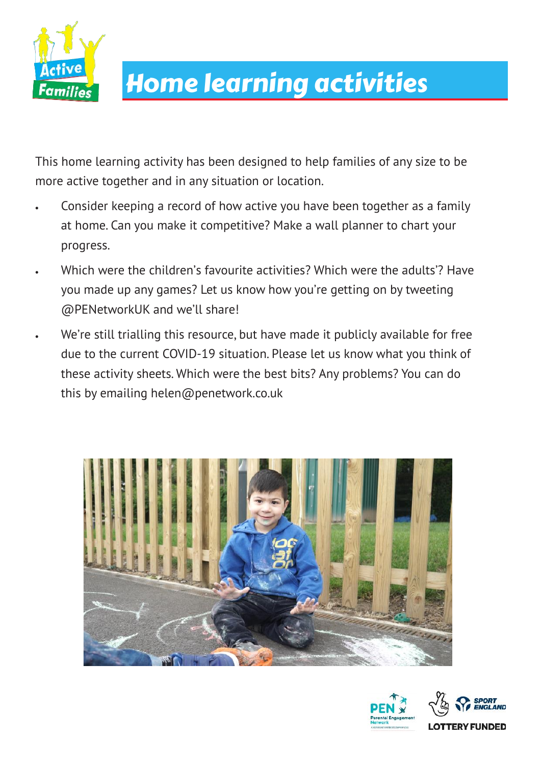

## Home learning activities

This home learning activity has been designed to help families of any size to be more active together and in any situation or location.

- Consider keeping a record of how active you have been together as a family at home. Can you make it competitive? Make a wall planner to chart your progress.
- Which were the children's favourite activities? Which were the adults'? Have you made up any games? Let us know how you're getting on by tweeting @PENetworkUK and we'll share!
- We're still trialling this resource, but have made it publicly available for free due to the current COVID-19 situation. Please let us know what you think of these activity sheets. Which were the best bits? Any problems? You can do this by emailing helen@penetwork.co.uk



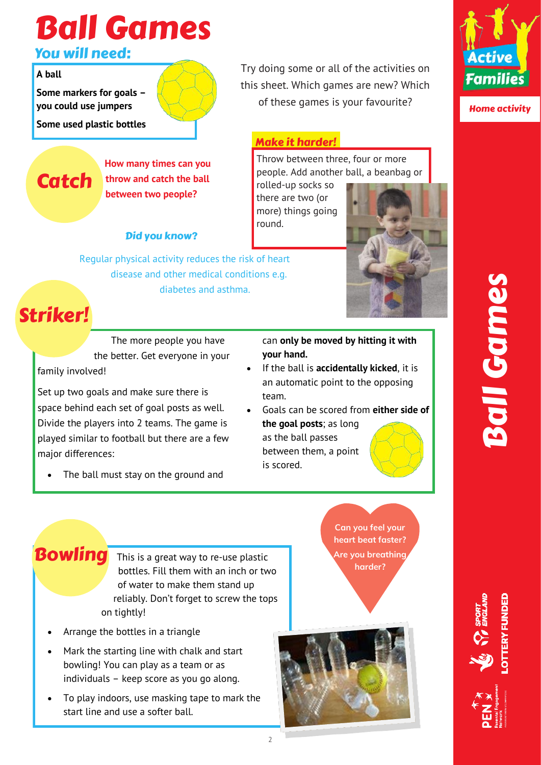# Ball Games

### You will need:

### **A ball**

**Some markers for goals – you could use jumpers**

**Some used plastic bottles**

### **Catch**

**How many times can you throw and catch the ball between two people?**

### Did you know?

Regular physical activity reduces the risk of heart disease and other medical conditions e.g. diabetes and asthma.

Try doing some or all of the activities on this sheet. Which games are new? Which of these games is your favourite?

### Make it harder!

Throw between three, four or more people. Add another ball, a beanbag or

rolled-up socks so there are two (or more) things going round.



Striker!

The more people you have the better. Get everyone in your family involved!

Set up two goals and make sure there is space behind each set of goal posts as well. Divide the players into 2 teams. The game is played similar to football but there are a few major differences:

The ball must stay on the ground and

can **only be moved by hitting it with your hand.**

- If the ball is **accidentally kicked**, it is an automatic point to the opposing team.
- Goals can be scored from **either side of the goal posts**; as long as the ball passes between them, a point is scored.

**Bowling** 

This is a great way to re-use plastic bottles. Fill them with an inch or two of water to make them stand up reliably. Don't forget to screw the tops on tightly!

- Arrange the bottles in a triangle
- Mark the starting line with chalk and start bowling! You can play as a team or as individuals – keep score as you go along.
- To play indoors, use masking tape to mark the start line and use a softer ball.

**Can you feel your heart beat faster? Are you breathing harder?**



# Ball Games

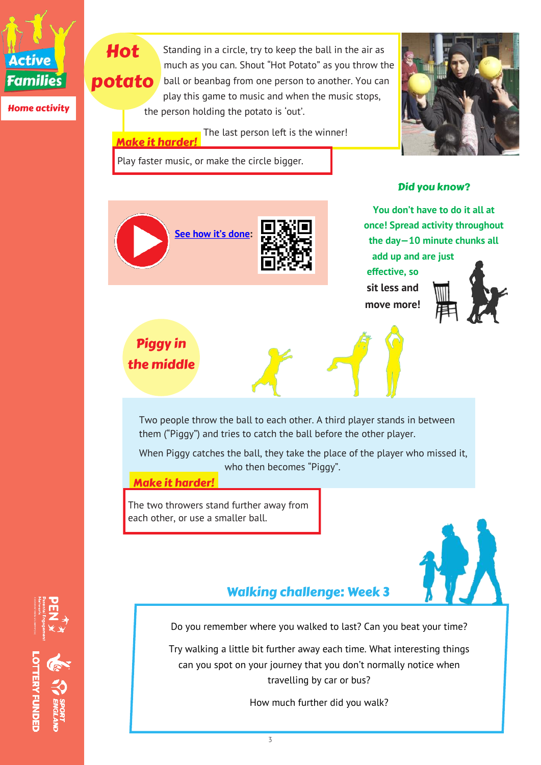

**Hot** 

Home activity

Standing in a circle, try to keep the ball in the air as much as you can. Shout "Hot Potato" as you throw the potato ball or beanbag from one person to another. You can play this game to music and when the music stops, the person holding the potato is 'out'.

The last person left is the winner! Make it harder!

Play faster music, or make the circle bigger.





### Did you know?

**You don't have to do it all at once! Spread activity throughout the day—10 minute chunks all add up and are just effective, so sit less and move more!**

### Piggy in the middle

Two people throw the ball to each other. A third player stands in between them ("Piggy") and tries to catch the ball before the other player.

When Piggy catches the ball, they take the place of the player who missed it, who then becomes "Piggy".

Make it harder!

The two throwers stand further away from each other, or use a smaller ball.



### Walking challenge: Week 3

Do you remember where you walked to last? Can you beat your time?

Try walking a little bit further away each time. What interesting things can you spot on your journey that you don't normally notice when travelling by car or bus?

How much further did you walk?

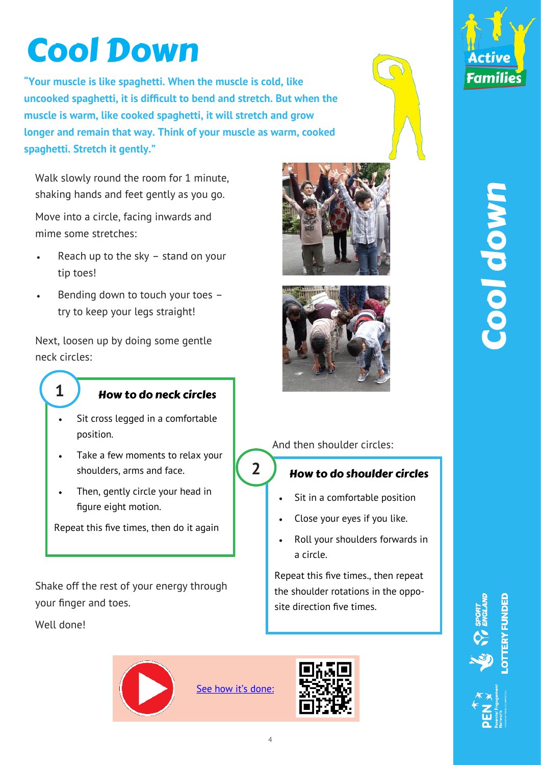## Cool Down

**"Your muscle is like spaghetti. When the muscle is cold, like uncooked spaghetti, it is difficult to bend and stretch. But when the muscle is warm, like cooked spaghetti, it will stretch and grow longer and remain that way. Think of your muscle as warm, cooked spaghetti. Stretch it gently."**

Walk slowly round the room for 1 minute, shaking hands and feet gently as you go.

Move into a circle, facing inwards and mime some stretches:

- Reach up to the sky  $-$  stand on your tip toes!
- Bending down to touch your toes try to keep your legs straight!

Next, loosen up by doing some gentle neck circles:

### How to do neck circles

- Sit cross legged in a comfortable position.
- Take a few moments to relax your shoulders, arms and face.
- Then, gently circle your head in figure eight motion.

Repeat this five times, then do it again

Shake off the rest of your energy through your finger and toes.

Well done!

**1**





### And then shoulder circles:

### How to do shoulder circles

- Sit in a comfortable position
- Close your eyes if you like.
- Roll your shoulders forwards in a circle.

Repeat this five times., then repeat the shoulder rotations in the opposite direction five times.



[See how it](https://qrgo.page.link/mzqcc)'s done:

**2**





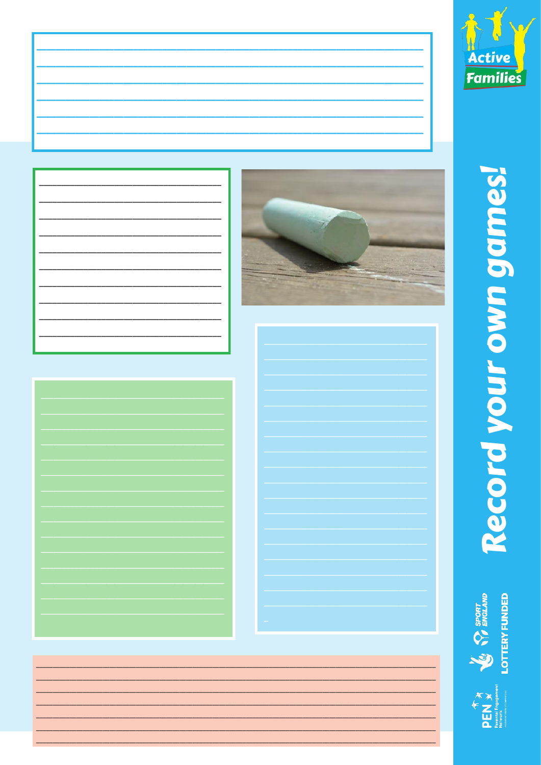

# Record your own games!



**ANEW X**